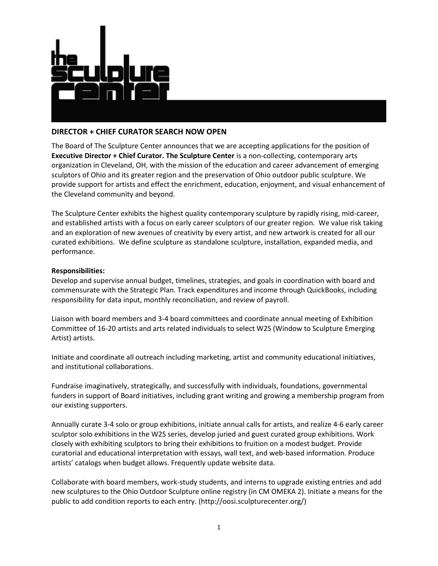

# **DIRECTOR + CHIEF CURATOR SEARCH NOW OPEN**

The Board of The Sculpture Center announces that we are accepting applications for the position of **Executive Director + Chief Curator. The Sculpture Center** is a non-collecting, contemporary arts organization in Cleveland, OH, with the mission of the education and career advancement of emerging sculptors of Ohio and its greater region and the preservation of Ohio outdoor public sculpture. We provide support for artists and effect the enrichment, education, enjoyment, and visual enhancement of the Cleveland community and beyond.

The Sculpture Center exhibits the highest quality contemporary sculpture by rapidly rising, mid-career, and established artists with a focus on early career sculptors of our greater region. We value risk taking and an exploration of new avenues of creativity by every artist, and new artwork is created for all our curated exhibitions. We define sculpture as standalone sculpture, installation, expanded media, and performance.

## **Responsibilities:**

Develop and supervise annual budget, timelines, strategies, and goals in coordination with board and commensurate with the Strategic Plan. Track expenditures and income through QuickBooks, including responsibility for data input, monthly reconciliation, and review of payroll.

Liaison with board members and 3-4 board committees and coordinate annual meeting of Exhibition Committee of 16-20 artists and arts related individuals to select W2S (Window to Sculpture Emerging Artist) artists.

Initiate and coordinate all outreach including marketing, artist and community educational initiatives, and institutional collaborations.

Fundraise imaginatively, strategically, and successfully with individuals, foundations, governmental funders in support of Board initiatives, including grant writing and growing a membership program from our existing supporters.

Annually curate 3-4 solo or group exhibitions, initiate annual calls for artists, and realize 4-6 early career sculptor solo exhibitions in the W2S series, develop juried and guest curated group exhibitions. Work closely with exhibiting sculptors to bring their exhibitions to fruition on a modest budget. Provide curatorial and educational interpretation with essays, wall text, and web-based information. Produce artists' catalogs when budget allows. Frequently update website data.

Collaborate with board members, work-study students, and interns to upgrade existing entries and add new sculptures to the Ohio Outdoor Sculpture online registry (in CM OMEKA 2). Initiate a means for the public to add condition reports to each entry. (http://oosi.sculpturecenter.org/)